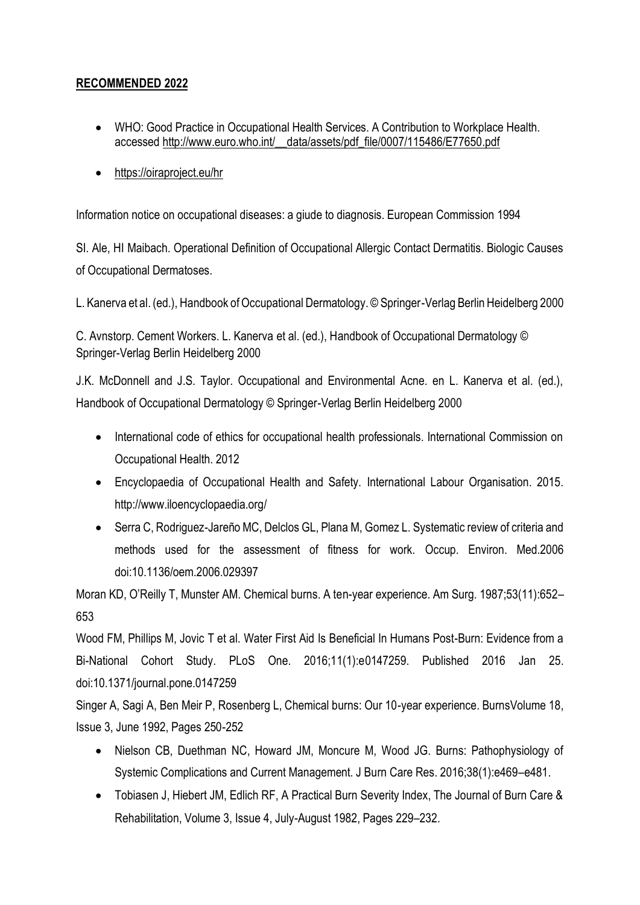## **RECOMMENDED 2022**

- WHO: Good Practice in Occupational Health Services. A Contribution to Workplace Health. accessed [http://www.euro.who.int/\\_\\_data/assets/pdf\\_file/0007/115486/E77650.pdf](http://www.euro.who.int/__data/assets/pdf_file/0007/115486/E77650.pdf)
- <https://oiraproject.eu/hr>

Information notice on occupational diseases: a giude to diagnosis. European Commission 1994

SI. Ale, HI Maibach. Operational Definition of Occupational Allergic Contact Dermatitis. Biologic Causes of Occupational Dermatoses.

L. Kanerva et al. (ed.), Handbook of Occupational Dermatology. © Springer-Verlag Berlin Heidelberg 2000

C. Avnstorp. Cement Workers. L. Kanerva et al. (ed.), Handbook of Occupational Dermatology © Springer-Verlag Berlin Heidelberg 2000

J.K. McDonnell and J.S. Taylor. Occupational and Environmental Acne. en L. Kanerva et al. (ed.), Handbook of Occupational Dermatology © Springer-Verlag Berlin Heidelberg 2000

- International code of ethics for occupational health professionals. International Commission on Occupational Health. 2012
- Encyclopaedia of Occupational Health and Safety. International Labour Organisation. 2015. http://www.iloencyclopaedia.org/
- Serra C, Rodriguez-Jareño MC, Delclos GL, Plana M, Gomez L. Systematic review of criteria and methods used for the assessment of fitness for work. Occup. Environ. Med.2006 doi:10.1136/oem.2006.029397

Moran KD, O'Reilly T, Munster AM. Chemical burns. A ten-year experience. Am Surg. 1987;53(11):652– 653

Wood FM, Phillips M, Jovic T et al. Water First Aid Is Beneficial In Humans Post-Burn: Evidence from a Bi-National Cohort Study. PLoS One. 2016;11(1):e0147259. Published 2016 Jan 25. doi:10.1371/journal.pone.0147259

Singer A, Sagi A, Ben Meir P, Rosenberg L, Chemical burns: Our 10-year experience. BurnsVolume 18, Issue 3, June 1992, Pages 250-252

- Nielson CB, Duethman NC, Howard JM, Moncure M, Wood JG. Burns: Pathophysiology of Systemic Complications and Current Management. J Burn Care Res. 2016;38(1):e469–e481.
- Tobiasen J, Hiebert JM, Edlich RF, A Practical Burn Severity Index, The Journal of Burn Care & Rehabilitation, Volume 3, Issue 4, July-August 1982, Pages 229–232.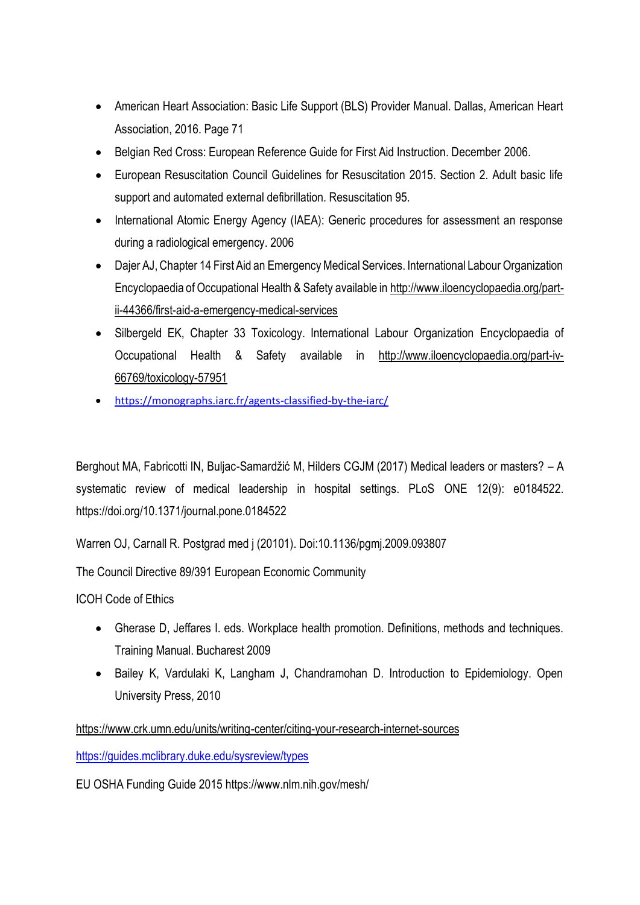- American Heart Association: Basic Life Support (BLS) Provider Manual. Dallas, American Heart Association, 2016. Page 71
- Belgian Red Cross: European Reference Guide for First Aid Instruction. December 2006.
- European Resuscitation Council Guidelines for Resuscitation 2015. Section 2. Adult basic life support and automated external defibrillation. Resuscitation 95.
- International Atomic Energy Agency (IAEA): Generic procedures for assessment an response during a radiological emergency. 2006
- Dajer AJ, Chapter 14 First Aid an Emergency Medical Services. International Labour Organization Encyclopaedia of Occupational Health & Safety available in [http://www.iloencyclopaedia.org/part](http://www.iloencyclopaedia.org/part-ii-44366/first-aid-a-emergency-medical-services)[ii-44366/first-aid-a-emergency-medical-services](http://www.iloencyclopaedia.org/part-ii-44366/first-aid-a-emergency-medical-services)
- Silbergeld EK, Chapter 33 Toxicology. International Labour Organization Encyclopaedia of Occupational Health & Safety available in [http://www.iloencyclopaedia.org/part-iv-](http://www.iloencyclopaedia.org/part-iv-66769/toxicology-57951)[66769/toxicology-57951](http://www.iloencyclopaedia.org/part-iv-66769/toxicology-57951)
- <https://monographs.iarc.fr/agents-classified-by-the-iarc/>

Berghout MA, Fabricotti IN, Buljac-Samardžić M, Hilders CGJM (2017) Medical leaders or masters? – A systematic review of medical leadership in hospital settings. PLoS ONE 12(9): e0184522. https://doi.org/10.1371/journal.pone.0184522

Warren OJ, Carnall R. Postgrad med j (20101). Doi:10.1136/pgmj.2009.093807

The Council Directive 89/391 European Economic Community

ICOH Code of Ethics

- Gherase D, Jeffares I. eds. Workplace health promotion. Definitions, methods and techniques. Training Manual. Bucharest 2009
- Bailey K, Vardulaki K, Langham J, Chandramohan D. Introduction to Epidemiology. Open University Press, 2010

<https://www.crk.umn.edu/units/writing-center/citing-your-research-internet-sources>

<https://guides.mclibrary.duke.edu/sysreview/types>

EU OSHA Funding Guide 2015 https://www.nlm.nih.gov/mesh/